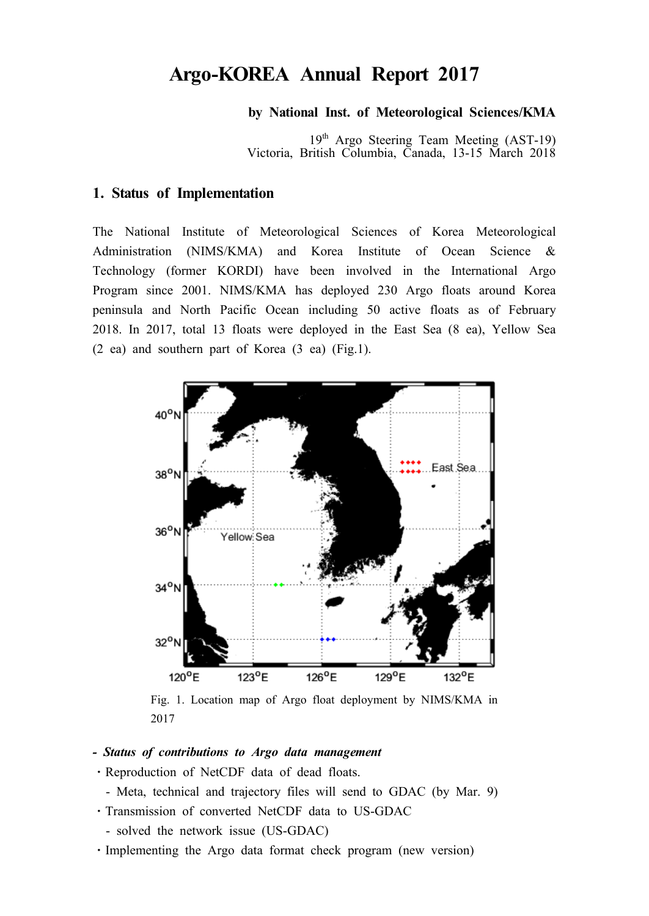# **Argo-KOREA Annual Report 2017**

#### **by National Inst. of Meteorological Sciences/KMA**

19<sup>th</sup> Argo Steering Team Meeting (AST-19) Victoria, British Columbia, Canada, 13-15 March 2018

#### **1. Status of Implementation**

The National Institute of Meteorological Sciences of Korea Meteorological Administration (NIMS/KMA) and Korea Institute of Ocean Science & Technology (former KORDI) have been involved in the International Argo Program since 2001. NIMS/KMA has deployed 230 Argo floats around Korea peninsula and North Pacific Ocean including 50 active floats as of February 2018. In 2017, total 13 floats were deployed in the East Sea (8 ea), Yellow Sea (2 ea) and southern part of Korea (3 ea) (Fig.1).



Fig. 1. Location map of Argo float deployment by NIMS/KMA in 2017

- *Status of contributions to Argo data management*
- ⋅Reproduction of NetCDF data of dead floats.
	- Meta, technical and trajectory files will send to GDAC (by Mar. 9)
- ⋅Transmission of converted NetCDF data to US-GDAC
- solved the network issue (US-GDAC)
- ⋅Implementing the Argo data format check program (new version)